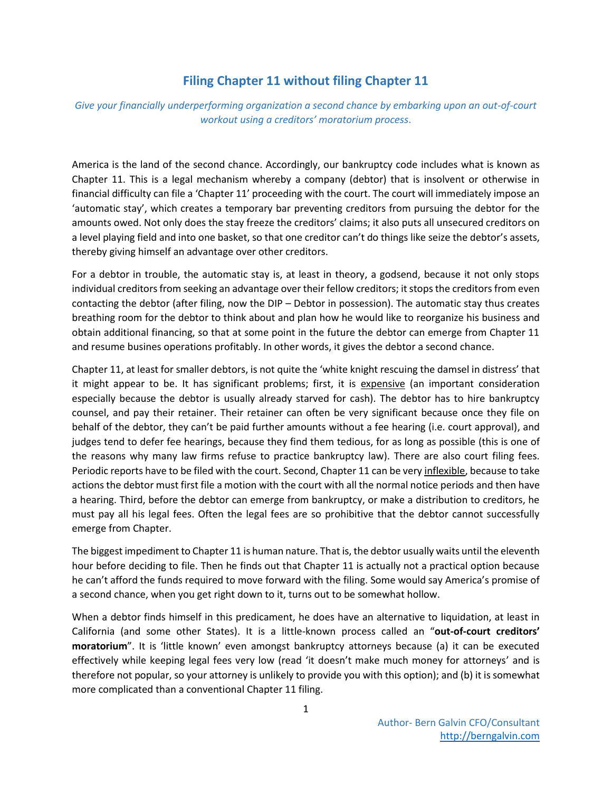## **Filing Chapter 11 without filing Chapter 11**

*Give your financially underperforming organization a second chance by embarking upon an out-of-court workout using a creditors' moratorium process*.

America is the land of the second chance. Accordingly, our bankruptcy code includes what is known as Chapter 11. This is a legal mechanism whereby a company (debtor) that is insolvent or otherwise in financial difficulty can file a 'Chapter 11' proceeding with the court. The court will immediately impose an 'automatic stay', which creates a temporary bar preventing creditors from pursuing the debtor for the amounts owed. Not only does the stay freeze the creditors' claims; it also puts all unsecured creditors on a level playing field and into one basket, so that one creditor can't do things like seize the debtor's assets, thereby giving himself an advantage over other creditors.

For a debtor in trouble, the automatic stay is, at least in theory, a godsend, because it not only stops individual creditors from seeking an advantage over their fellow creditors; it stops the creditors from even contacting the debtor (after filing, now the DIP – Debtor in possession). The automatic stay thus creates breathing room for the debtor to think about and plan how he would like to reorganize his business and obtain additional financing, so that at some point in the future the debtor can emerge from Chapter 11 and resume busines operations profitably. In other words, it gives the debtor a second chance.

Chapter 11, at least for smaller debtors, is not quite the 'white knight rescuing the damsel in distress' that it might appear to be. It has significant problems; first, it is expensive (an important consideration especially because the debtor is usually already starved for cash). The debtor has to hire bankruptcy counsel, and pay their retainer. Their retainer can often be very significant because once they file on behalf of the debtor, they can't be paid further amounts without a fee hearing (i.e. court approval), and judges tend to defer fee hearings, because they find them tedious, for as long as possible (this is one of the reasons why many law firms refuse to practice bankruptcy law). There are also court filing fees. Periodic reports have to be filed with the court. Second, Chapter 11 can be very inflexible, because to take actions the debtor must first file a motion with the court with all the normal notice periods and then have a hearing. Third, before the debtor can emerge from bankruptcy, or make a distribution to creditors, he must pay all his legal fees. Often the legal fees are so prohibitive that the debtor cannot successfully emerge from Chapter.

The biggest impediment to Chapter 11 is human nature. That is, the debtor usually waits until the eleventh hour before deciding to file. Then he finds out that Chapter 11 is actually not a practical option because he can't afford the funds required to move forward with the filing. Some would say America's promise of a second chance, when you get right down to it, turns out to be somewhat hollow.

When a debtor finds himself in this predicament, he does have an alternative to liquidation, at least in California (and some other States). It is a little-known process called an "**out-of-court creditors' moratorium**". It is 'little known' even amongst bankruptcy attorneys because (a) it can be executed effectively while keeping legal fees very low (read 'it doesn't make much money for attorneys' and is therefore not popular, so your attorney is unlikely to provide you with this option); and (b) it is somewhat more complicated than a conventional Chapter 11 filing.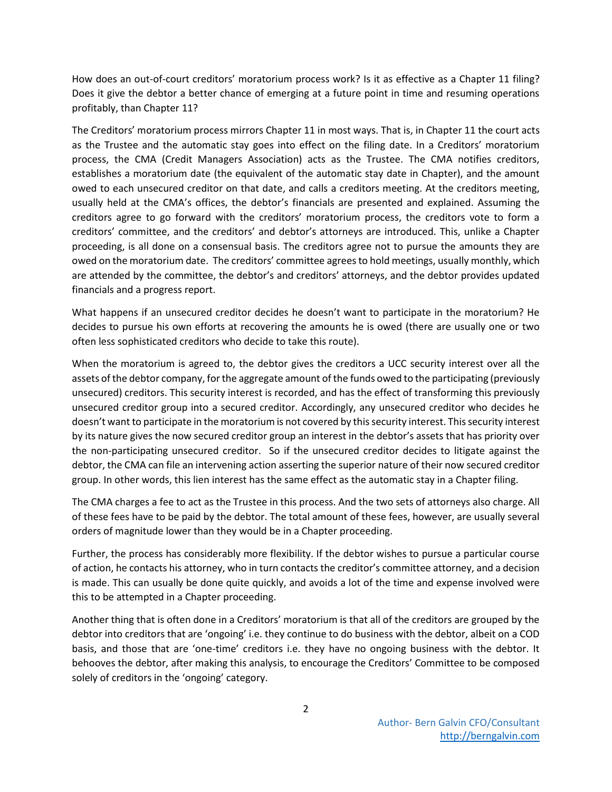How does an out-of-court creditors' moratorium process work? Is it as effective as a Chapter 11 filing? Does it give the debtor a better chance of emerging at a future point in time and resuming operations profitably, than Chapter 11?

The Creditors' moratorium process mirrors Chapter 11 in most ways. That is, in Chapter 11 the court acts as the Trustee and the automatic stay goes into effect on the filing date. In a Creditors' moratorium process, the CMA (Credit Managers Association) acts as the Trustee. The CMA notifies creditors, establishes a moratorium date (the equivalent of the automatic stay date in Chapter), and the amount owed to each unsecured creditor on that date, and calls a creditors meeting. At the creditors meeting, usually held at the CMA's offices, the debtor's financials are presented and explained. Assuming the creditors agree to go forward with the creditors' moratorium process, the creditors vote to form a creditors' committee, and the creditors' and debtor's attorneys are introduced. This, unlike a Chapter proceeding, is all done on a consensual basis. The creditors agree not to pursue the amounts they are owed on the moratorium date. The creditors' committee agrees to hold meetings, usually monthly, which are attended by the committee, the debtor's and creditors' attorneys, and the debtor provides updated financials and a progress report.

What happens if an unsecured creditor decides he doesn't want to participate in the moratorium? He decides to pursue his own efforts at recovering the amounts he is owed (there are usually one or two often less sophisticated creditors who decide to take this route).

When the moratorium is agreed to, the debtor gives the creditors a UCC security interest over all the assets of the debtor company, for the aggregate amount of the funds owed to the participating (previously unsecured) creditors. This security interest is recorded, and has the effect of transforming this previously unsecured creditor group into a secured creditor. Accordingly, any unsecured creditor who decides he doesn't want to participate in the moratorium is not covered by this security interest. This security interest by its nature gives the now secured creditor group an interest in the debtor's assets that has priority over the non-participating unsecured creditor. So if the unsecured creditor decides to litigate against the debtor, the CMA can file an intervening action asserting the superior nature of their now secured creditor group. In other words, this lien interest has the same effect as the automatic stay in a Chapter filing.

The CMA charges a fee to act as the Trustee in this process. And the two sets of attorneys also charge. All of these fees have to be paid by the debtor. The total amount of these fees, however, are usually several orders of magnitude lower than they would be in a Chapter proceeding.

Further, the process has considerably more flexibility. If the debtor wishes to pursue a particular course of action, he contacts his attorney, who in turn contacts the creditor's committee attorney, and a decision is made. This can usually be done quite quickly, and avoids a lot of the time and expense involved were this to be attempted in a Chapter proceeding.

Another thing that is often done in a Creditors' moratorium is that all of the creditors are grouped by the debtor into creditors that are 'ongoing' i.e. they continue to do business with the debtor, albeit on a COD basis, and those that are 'one-time' creditors i.e. they have no ongoing business with the debtor. It behooves the debtor, after making this analysis, to encourage the Creditors' Committee to be composed solely of creditors in the 'ongoing' category.